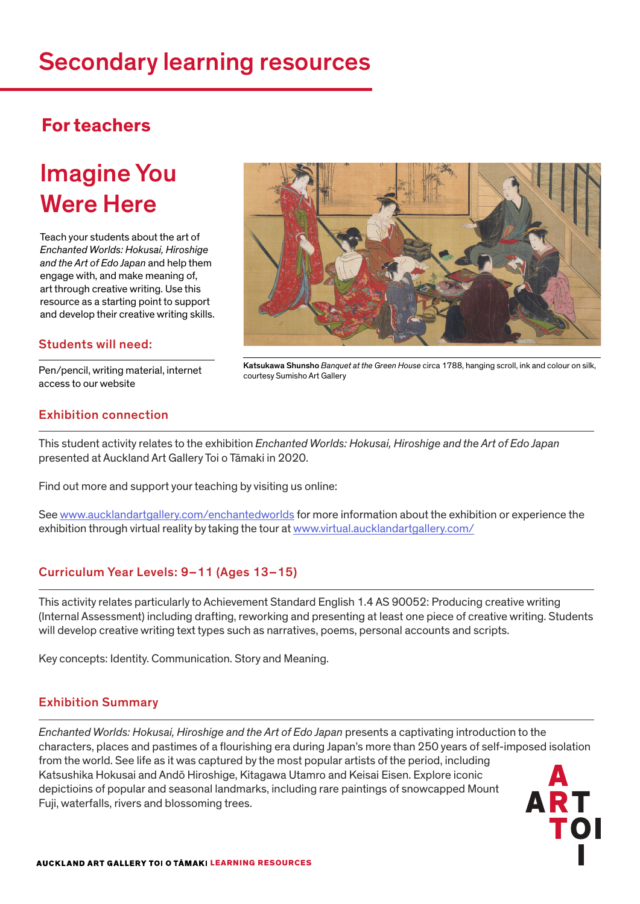# Secondary learning resources

### **For teachers**

# Imagine You Were Here

Teach your students about the art of *Enchanted Worlds: Hokusai, Hiroshige and the Art of Edo Japan* and help them engage with, and make meaning of, art through creative writing. Use this resource as a starting point to support and develop their creative writing skills.

#### Students will need:

Pen/pencil, writing material, internet access to our website



Katsukawa Shunsho *Banquet at the Green House* circa 1788, hanging scroll, ink and colour on silk, courtesy Sumisho Art Gallery

### Exhibition connection

This student activity relates to the exhibition *Enchanted Worlds: Hokusai, Hiroshige and the Art of Edo Japan* presented at Auckland Art Gallery Toi o Tāmaki in 2020.

Find out more and support your teaching by visiting us online:

See www.aucklandartgallery.com/enchantedworlds for more information about the exhibition or experience the exhibition through virtual reality by taking the tour at www.virtual.aucklandartgallery.com/

### Curriculum Year Levels: 9–11 (Ages 13–15)

This activity relates particularly to Achievement Standard English 1.4 AS 90052: Producing creative writing (Internal Assessment) including drafting, reworking and presenting at least one piece of creative writing. Students will develop creative writing text types such as narratives, poems, personal accounts and scripts.

Key concepts: Identity. Communication. Story and Meaning.

#### Exhibition Summary

*Enchanted Worlds: Hokusai, Hiroshige and the Art of Edo Japan* presents a captivating introduction to the characters, places and pastimes of a flourishing era during Japan's more than 250 years of self-imposed isolation from the world. See life as it was captured by the most popular artists of the period, including Katsushika Hokusai and Andō Hiroshige, Kitagawa Utamro and Keisai Eisen. Explore iconic depictioins of popular and seasonal landmarks, including rare paintings of snowcapped Mount Fuji, waterfalls, rivers and blossoming trees.